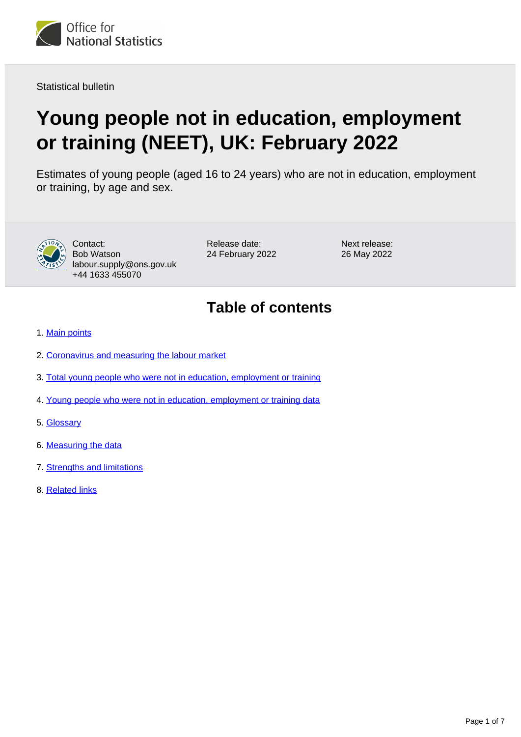

Statistical bulletin

# **Young people not in education, employment or training (NEET), UK: February 2022**

Estimates of young people (aged 16 to 24 years) who are not in education, employment or training, by age and sex.



Contact: Bob Watson labour.supply@ons.gov.uk +44 1633 455070

Release date: 24 February 2022 Next release: 26 May 2022

## **Table of contents**

- 1. [Main points](#page-1-0)
- 2. [Coronavirus and measuring the labour market](#page-1-1)
- 3. [Total young people who were not in education, employment or training](#page-2-0)
- 4. [Young people who were not in education, employment or training data](#page-3-0)
- 5. [Glossary](#page-3-1)
- 6. [Measuring the data](#page-4-0)
- 7. [Strengths and limitations](#page-5-0)
- 8. [Related links](#page-6-0)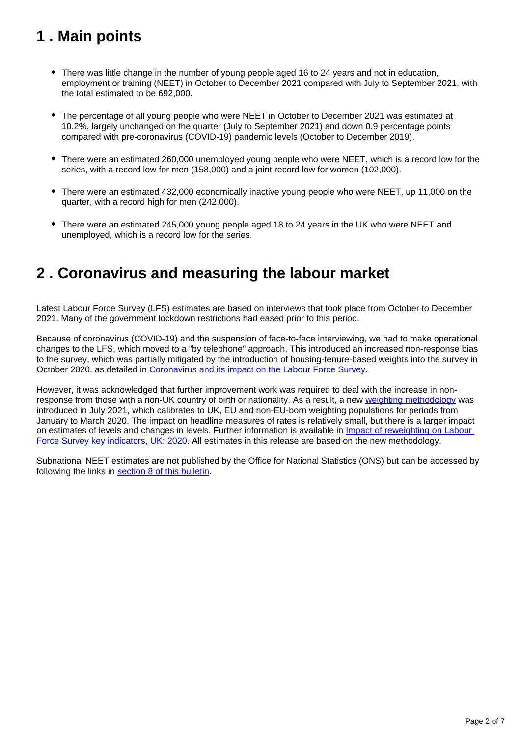## <span id="page-1-0"></span>**1 . Main points**

- There was little change in the number of young people aged 16 to 24 years and not in education, employment or training (NEET) in October to December 2021 compared with July to September 2021, with the total estimated to be 692,000.
- The percentage of all young people who were NEET in October to December 2021 was estimated at 10.2%, largely unchanged on the quarter (July to September 2021) and down 0.9 percentage points compared with pre-coronavirus (COVID-19) pandemic levels (October to December 2019).
- There were an estimated 260,000 unemployed young people who were NEET, which is a record low for the series, with a record low for men (158,000) and a joint record low for women (102,000).
- There were an estimated 432,000 economically inactive young people who were NEET, up 11,000 on the quarter, with a record high for men (242,000).
- There were an estimated 245,000 young people aged 18 to 24 years in the UK who were NEET and unemployed, which is a record low for the series.

### <span id="page-1-1"></span>**2 . Coronavirus and measuring the labour market**

Latest Labour Force Survey (LFS) estimates are based on interviews that took place from October to December 2021. Many of the government lockdown restrictions had eased prior to this period.

Because of coronavirus (COVID-19) and the suspension of face-to-face interviewing, we had to make operational changes to the LFS, which moved to a "by telephone" approach. This introduced an increased non-response bias to the survey, which was partially mitigated by the introduction of housing-tenure-based weights into the survey in October 2020, as detailed in [Coronavirus and its impact on the Labour Force Survey.](https://www.ons.gov.uk/employmentandlabourmarket/peopleinwork/employmentandemployeetypes/articles/coronavirusanditsimpactonthelabourforcesurvey/2020-10-13)

However, it was acknowledged that further improvement work was required to deal with the increase in nonresponse from those with a non-UK country of birth or nationality. As a result, a new [weighting methodology](https://www.ons.gov.uk/employmentandlabourmarket/peopleinwork/employmentandemployeetypes/methodologies/labourforcesurveyweightingmethodology) was introduced in July 2021, which calibrates to UK, EU and non-EU-born weighting populations for periods from January to March 2020. The impact on headline measures of rates is relatively small, but there is a larger impact on estimates of levels and changes in levels. Further information is available in *Impact of reweighting on Labour* [Force Survey key indicators, UK: 2020.](https://www.ons.gov.uk/employmentandlabourmarket/peopleinwork/employmentandemployeetypes/articles/impactofreweightingonlabourforcesurveykeyindicatorsuk/2020) All estimates in this release are based on the new methodology.

Subnational NEET estimates are not published by the Office for National Statistics (ONS) but can be accessed by following the links in [section 8 of this bulletin](https://www.ons.gov.uk/employmentandlabourmarket/peoplenotinwork/unemployment/bulletins/youngpeoplenotineducationemploymentortrainingneet/february2022#related-links).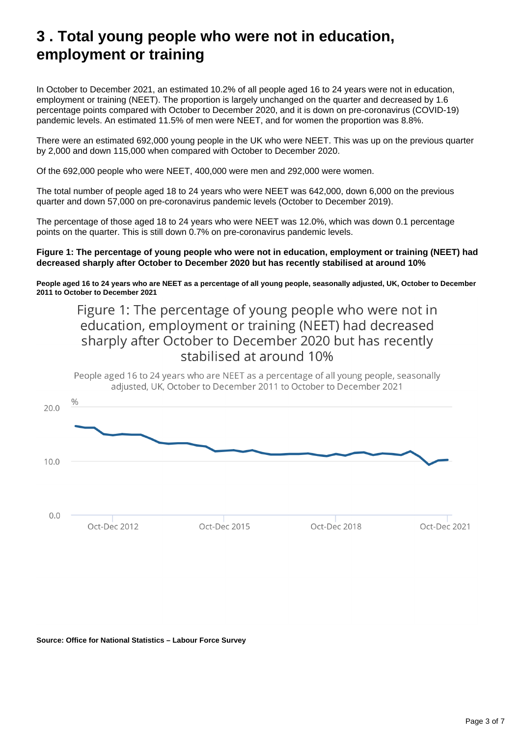### <span id="page-2-0"></span>**3 . Total young people who were not in education, employment or training**

In October to December 2021, an estimated 10.2% of all people aged 16 to 24 years were not in education, employment or training (NEET). The proportion is largely unchanged on the quarter and decreased by 1.6 percentage points compared with October to December 2020, and it is down on pre-coronavirus (COVID-19) pandemic levels. An estimated 11.5% of men were NEET, and for women the proportion was 8.8%.

There were an estimated 692,000 young people in the UK who were NEET. This was up on the previous quarter by 2,000 and down 115,000 when compared with October to December 2020.

Of the 692,000 people who were NEET, 400,000 were men and 292,000 were women.

The total number of people aged 18 to 24 years who were NEET was 642,000, down 6,000 on the previous quarter and down 57,000 on pre-coronavirus pandemic levels (October to December 2019).

The percentage of those aged 18 to 24 years who were NEET was 12.0%, which was down 0.1 percentage points on the quarter. This is still down 0.7% on pre-coronavirus pandemic levels.

#### **Figure 1: The percentage of young people who were not in education, employment or training (NEET) had decreased sharply after October to December 2020 but has recently stabilised at around 10%**

**People aged 16 to 24 years who are NEET as a percentage of all young people, seasonally adjusted, UK, October to December 2011 to October to December 2021**

### Figure 1: The percentage of young people who were not in education, employment or training (NEET) had decreased sharply after October to December 2020 but has recently stabilised at around 10%



#### **Source: Office for National Statistics – Labour Force Survey**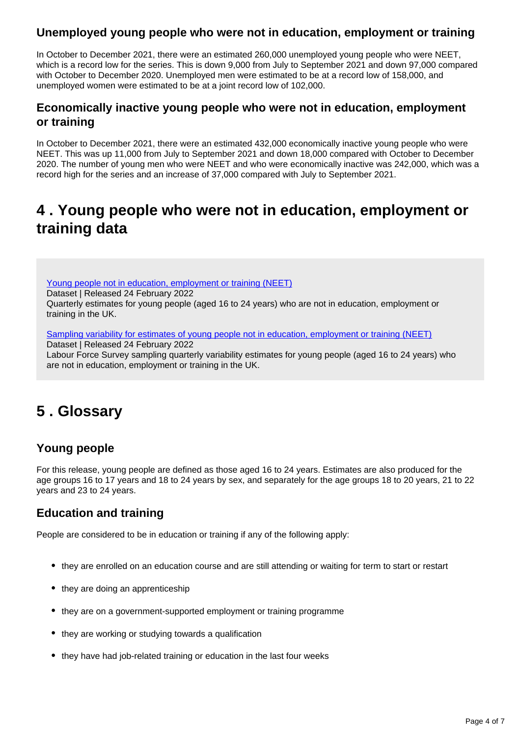#### **Unemployed young people who were not in education, employment or training**

In October to December 2021, there were an estimated 260,000 unemployed young people who were NEET, which is a record low for the series. This is down 9,000 from July to September 2021 and down 97,000 compared with October to December 2020. Unemployed men were estimated to be at a record low of 158,000, and unemployed women were estimated to be at a joint record low of 102,000.

#### **Economically inactive young people who were not in education, employment or training**

In October to December 2021, there were an estimated 432,000 economically inactive young people who were NEET. This was up 11,000 from July to September 2021 and down 18,000 compared with October to December 2020. The number of young men who were NEET and who were economically inactive was 242,000, which was a record high for the series and an increase of 37,000 compared with July to September 2021.

### <span id="page-3-0"></span>**4 . Young people who were not in education, employment or training data**

[Young people not in education, employment or training \(NEET\)](https://www.ons.gov.uk/employmentandlabourmarket/peoplenotinwork/unemployment/datasets/youngpeoplenotineducationemploymentortrainingneettable1)

Dataset | Released 24 February 2022 Quarterly estimates for young people (aged 16 to 24 years) who are not in education, employment or training in the UK.

[Sampling variability for estimates of young people not in education, employment or training \(NEET\)](https://www.ons.gov.uk/employmentandlabourmarket/peoplenotinwork/unemployment/datasets/youngpeoplenotineducationemploymentortrainingneettable2samplingvariabilities)

Dataset | Released 24 February 2022

Labour Force Survey sampling quarterly variability estimates for young people (aged 16 to 24 years) who are not in education, employment or training in the UK.

## <span id="page-3-1"></span>**5 . Glossary**

### **Young people**

For this release, young people are defined as those aged 16 to 24 years. Estimates are also produced for the age groups 16 to 17 years and 18 to 24 years by sex, and separately for the age groups 18 to 20 years, 21 to 22 years and 23 to 24 years.

### **Education and training**

People are considered to be in education or training if any of the following apply:

- they are enrolled on an education course and are still attending or waiting for term to start or restart
- they are doing an apprenticeship
- they are on a government-supported employment or training programme
- they are working or studving towards a qualification
- they have had job-related training or education in the last four weeks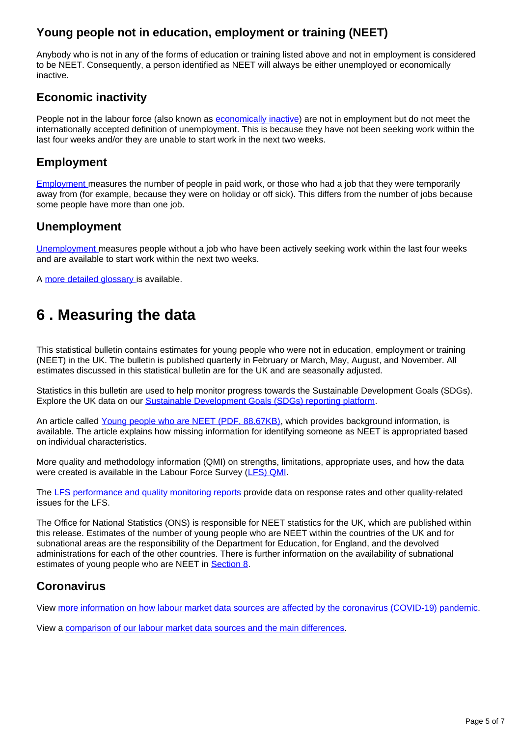#### **Young people not in education, employment or training (NEET)**

Anybody who is not in any of the forms of education or training listed above and not in employment is considered to be NEET. Consequently, a person identified as NEET will always be either unemployed or economically inactive.

#### **Economic inactivity**

People not in the labour force (also known as **economically inactive**) are not in employment but do not meet the internationally accepted definition of unemployment. This is because they have not been seeking work within the last four weeks and/or they are unable to start work in the next two weeks.

#### **Employment**

[Employment](https://www.ons.gov.uk/employmentandlabourmarket/peopleinwork/employmentandemployeetypes/methodologies/aguidetolabourmarketstatistics#employment) [m](https://www.ons.gov.uk/employmentandlabourmarket/peopleinwork/employmentandemployeetypes/methodologies/aguidetolabourmarketstatistics#employment)easures the number of people in paid work, or those who had a job that they were temporarily away from (for example, because they were on holiday or off sick). This differs from the number of jobs because some people have more than one job.

#### **Unemployment**

[Unemployment](https://www.ons.gov.uk/employmentandlabourmarket/peopleinwork/employmentandemployeetypes/methodologies/aguidetolabourmarketstatistics#unemployment) [m](https://www.ons.gov.uk/employmentandlabourmarket/peopleinwork/employmentandemployeetypes/methodologies/aguidetolabourmarketstatistics#unemployment)easures people without a job who have been actively seeking work within the last four weeks and are available to start work within the next two weeks.

A [more detailed glossary](https://www.ons.gov.uk/employmentandlabourmarket/peopleinwork/employmentandemployeetypes/methodologies/aguidetolabourmarketstatistics#glossary) [i](https://www.ons.gov.uk/employmentandlabourmarket/peopleinwork/employmentandemployeetypes/methodologies/aguidetolabourmarketstatistics#glossary)s available.

### <span id="page-4-0"></span>**6 . Measuring the data**

This statistical bulletin contains estimates for young people who were not in education, employment or training (NEET) in the UK. The bulletin is published quarterly in February or March, May, August, and November. All estimates discussed in this statistical bulletin are for the UK and are seasonally adjusted.

Statistics in this bulletin are used to help monitor progress towards the Sustainable Development Goals (SDGs). Explore the UK data on our [Sustainable Development Goals \(SDGs\) reporting platform.](https://sustainabledevelopment-uk.github.io/)

An article called [Young people who are NEET \(PDF, 88.67KB\),](http://webarchive.nationalarchives.gov.uk/20160204094749/http:/ons.gov.uk/ons/guide-method/method-quality/specific/labour-market/articles-and-reports/young-people-who-are-neet.pdf) which provides background information, is available. The article explains how missing information for identifying someone as NEET is appropriated based on individual characteristics.

More quality and methodology information (QMI) on strengths, limitations, appropriate uses, and how the data were created is available in the Labour Force Survey [\(LFS\) QMI](https://www.ons.gov.uk/employmentandlabourmarket/peopleinwork/employmentandemployeetypes/methodologies/labourforcesurveylfsqmi).

The [LFS performance and quality monitoring reports](https://www.ons.gov.uk/employmentandlabourmarket/peopleinwork/employmentandemployeetypes/methodologies/labourforcesurveyperformanceandqualitymonitoringreports) provide data on response rates and other quality-related issues for the LFS.

The Office for National Statistics (ONS) is responsible for NEET statistics for the UK, which are published within this release. Estimates of the number of young people who are NEET within the countries of the UK and for subnational areas are the responsibility of the Department for Education, for England, and the devolved administrations for each of the other countries. There is further information on the availability of subnational estimates of young people who are NEET in [Section 8.](https://www.ons.gov.uk/employmentandlabourmarket/peoplenotinwork/unemployment/bulletins/youngpeoplenotineducationemploymentortrainingneet/november2021#related-links)

#### **Coronavirus**

View [more information on how labour market data sources are affected by the coronavirus \(COVID-19\) pandemic](https://www.ons.gov.uk/employmentandlabourmarket/peopleinwork/employmentandemployeetypes/articles/coronavirusandtheeffectsonuklabourmarketstatistics/2020-05-06).

View a [comparison of our labour market data sources and the main differences.](https://www.ons.gov.uk/employmentandlabourmarket/peopleinwork/employmentandemployeetypes/methodologies/comparisonoflabourmarketdatasources)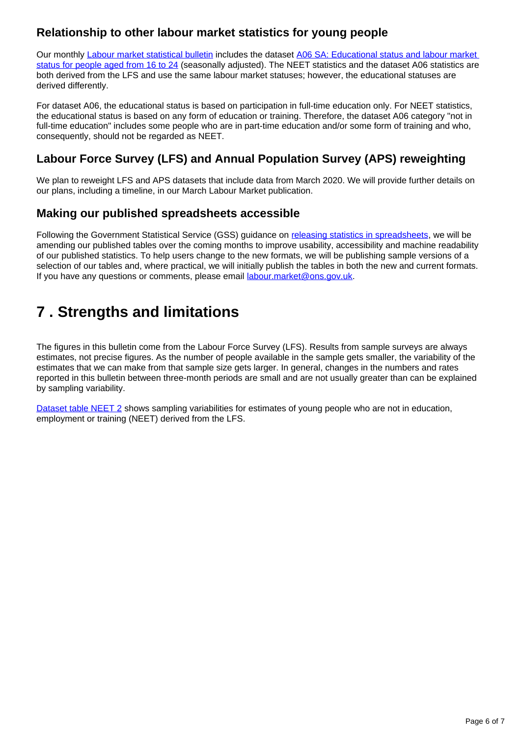#### **Relationship to other labour market statistics for young people**

Our monthly [Labour market statistical bulletin](https://www.ons.gov.uk/employmentandlabourmarket/peopleinwork/employmentandemployeetypes/bulletins/uklabourmarket/latest) includes the dataset [A06 SA: Educational status and labour market](http://www.ons.gov.uk/employmentandlabourmarket/peopleinwork/employmentandemployeetypes/datasets/educationalstatusandlabourmarketstatusforpeopleagedfrom16to24seasonallyadjusteda06sa)  [status for people aged from 16 to 24](http://www.ons.gov.uk/employmentandlabourmarket/peopleinwork/employmentandemployeetypes/datasets/educationalstatusandlabourmarketstatusforpeopleagedfrom16to24seasonallyadjusteda06sa) (seasonally adjusted). The NEET statistics and the dataset A06 statistics are both derived from the LFS and use the same labour market statuses; however, the educational statuses are derived differently.

For dataset A06, the educational status is based on participation in full-time education only. For NEET statistics, the educational status is based on any form of education or training. Therefore, the dataset A06 category "not in full-time education" includes some people who are in part-time education and/or some form of training and who, consequently, should not be regarded as NEET.

### **Labour Force Survey (LFS) and Annual Population Survey (APS) reweighting**

We plan to reweight LFS and APS datasets that include data from March 2020. We will provide further details on our plans, including a timeline, in our March Labour Market publication.

#### **Making our published spreadsheets accessible**

Following the Government Statistical Service (GSS) guidance on [releasing statistics in spreadsheets,](https://gss.civilservice.gov.uk/policy-store/releasing-statistics-in-spreadsheets/) we will be amending our published tables over the coming months to improve usability, accessibility and machine readability of our published statistics. To help users change to the new formats, we will be publishing sample versions of a selection of our tables and, where practical, we will initially publish the tables in both the new and current formats. If you have any questions or comments, please email [labour.market@ons.gov.uk.](mailto:labour.market@ons.gov.uk)

## <span id="page-5-0"></span>**7 . Strengths and limitations**

The figures in this bulletin come from the Labour Force Survey (LFS). Results from sample surveys are always estimates, not precise figures. As the number of people available in the sample gets smaller, the variability of the estimates that we can make from that sample size gets larger. In general, changes in the numbers and rates reported in this bulletin between three-month periods are small and are not usually greater than can be explained by sampling variability.

[Dataset table NEET 2](http://www.ons.gov.uk/employmentandlabourmarket/peoplenotinwork/unemployment/datasets/youngpeoplenotineducationemploymentortrainingneettable2samplingvariabilities) shows sampling variabilities for estimates of young people who are not in education, employment or training (NEET) derived from the LFS.